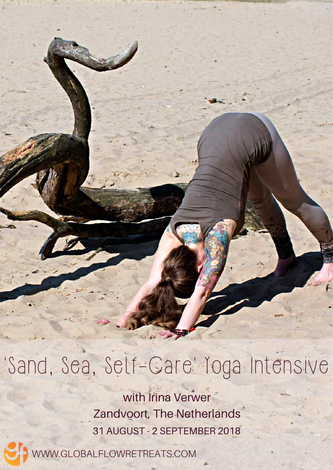'Sand, Sea, Self-Gare' Yoga Intensive

with Irina Verwer Zandvoort, The Netherlands 31 AUGUST - 2 SEPTEMBER 2018

WWW.GLOBALFLOWRETREATS.COM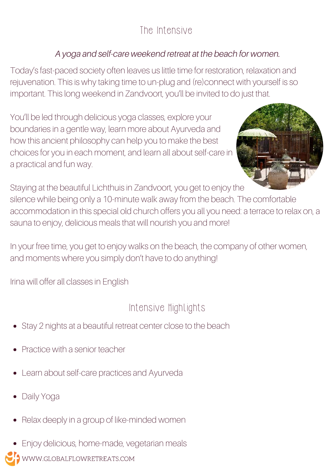# The Intensive

### A yoga and self-care weekend retreat at the beach for women.

Today's fast-paced society often leaves us little time for restoration, relaxation and rejuvenation. This is why taking time to un-plug and (re)connect with yourself is so important. This long weekend in Zandvoort, you'll be invited to do just that.

You'll be led through delicious yoga classes, explore your boundaries in a gentle way, learn more about Ayurveda and how this ancient philosophy can help you to make the best choices for you in each moment, and learn all about self-care in a practical and fun way.



Staying at the beautiful Lichthuis in Zandvoort, you get to enjoy the silence while being only a 10-minute walk away from the beach. The comfortable accommodation in this special old church offers you all you need: a terrace to relax on, a sauna to enjoy, delicious meals that will nourish you and more!

In your free time, you get to enjoy walks on the beach, the company of other women, and moments where you simply don't have to do anything!

Irina will offer all classes in English

# Intensive Highlights

- Stay 2 nights at a beautiful retreat center close to the beach
- Practice with a senior teacher
- Learn about self-care practices and Ayurveda
- Daily Yoga
- Relax deeply in a group of like-minded women
- Enjoy delicious, home-made, vegetarian meals
- WWW.GLOBALFLOWRETREATS.COM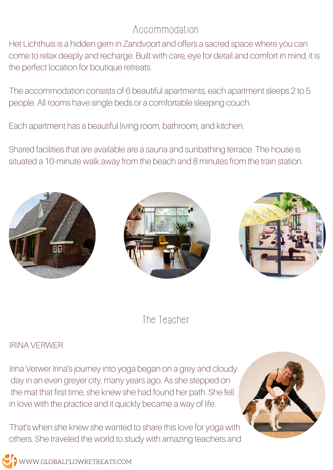## Accommodation

Het Lichthuis is a hidden gem in Zandvoort and offers a sacred space where you can come to relax deeply and recharge. Built with care, eye for detail and comfort in mind, it is the perfect location for boutique retreats.

The accommodation consists of 6 beautiful apartments, each apartment sleeps 2 to 5 people. All rooms have single beds or a comfortable sleeping couch.

Each apartment has a beautiful living room, bathroom, and kitchen.

Shared facilities that are available are a sauna and sunbathing terrace. The house is situated a 10-minute walk away from the beach and 8 minutes from the train station.







### The Teacher

#### IRINA VERWER

Irina Verwer Irina's journey into yoga began on a grey and cloudy day in an even greyer city, many years ago. As she stepped on the mat that first time, she knew she had found her path. She fell in love with the practice and it quickly became a way of life.

That's when she knew she wanted to share this love for yoga with others. She traveled the world to study with amazing teachers and



WWW.GLOBALFLOWRETREATS.COM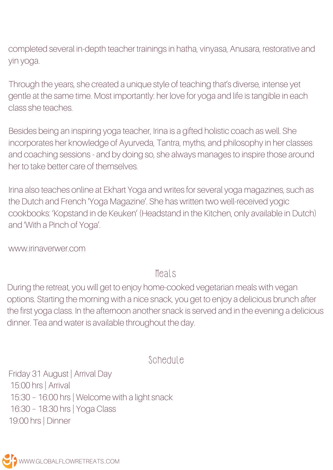completed several in-depth teacher trainings in hatha, vinyasa, Anusara, restorative and yin yoga.

Through the years, she created a unique style of teaching that's diverse, intense yet gentle at the same time. Most importantly: her love for yoga and life is tangible in each class she teaches.

Besides being an inspiring yoga teacher, Irina is a gifted holistic coach as well. She incorporates her knowledge of Ayurveda, Tantra, myths, and philosophy in her classes and coaching sessions - and by doing so, she always manages to inspire those around her to take better care of themselves.

Irina also teaches online at Ekhart Yoga and writes for several yoga magazines, such as the Dutch and French 'Yoga Magazine'. She has written two well-received yogic cookbooks: 'Kopstand in de Keuken' (Headstand in the Kitchen, only available in Dutch) and 'With a Pinch of Yoga'.

www.irinaverwer.com

Meals

During the retreat, you will get to enjoy home-cooked vegetarian meals with vegan options. Starting the morning with a nice snack, you get to enjoy a delicious brunch after the first yoga class. In the afternoon another snack is served and in the evening a delicious dinner. Tea and water is available throughout the day.

Schedule

Friday 31 August | Arrival Day 15:00 hrs | Arrival 15:30 – 16:00 hrs | Welcome with a light snack 16:30 – 18:30 hrs | Yoga Class 19:00 hrs | Dinner

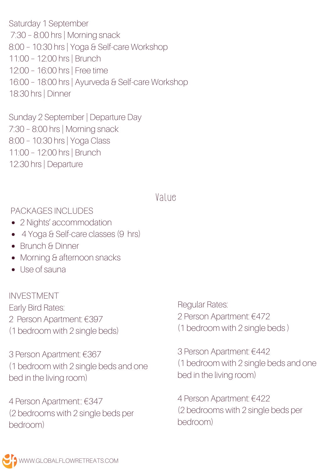Saturday 1 September 7:30 – 8:00 hrs | Morning snack 8:00 – 10:30 hrs | Yoga & Self-care Workshop 11:00 – 12:00 hrs | Brunch 12:00 – 16:00 hrs | Free time 16:00 – 18:00 hrs | Ayurveda & Self-care Workshop 18:30 hrs | Dinner

Sunday 2 September | Departure Day 7:30 – 8:00 hrs | Morning snack 8:00 – 10:30 hrs | Yoga Class 11:00 – 12:00 hrs | Brunch 12:30 hrs | Departure

#### Value

#### PACKAGES INCLUDES

- 2 Nights' accommodation
- 4 Yoga & Self-care classes (9 hrs)
- Brunch & Dinner
- Morning & afternoon snacks
- Use of sauna

INVESTMENT Early Bird Rates: 2 Person Apartment: €397 (1 bedroom with 2 single beds)

3 Person Apartment: €367 (1 bedroom with 2 single beds and one bed in the living room)

4 Person Apartment:: €347 (2 bedrooms with 2 single beds per bedroom)

Regular Rates: 2 Person Apartment: €472 (1 bedroom with 2 single beds )

3 Person Apartment: €442 (1 bedroom with 2 single beds and one bed in the living room)

4 Person Apartment: €422 (2 bedrooms with 2 single beds per bedroom)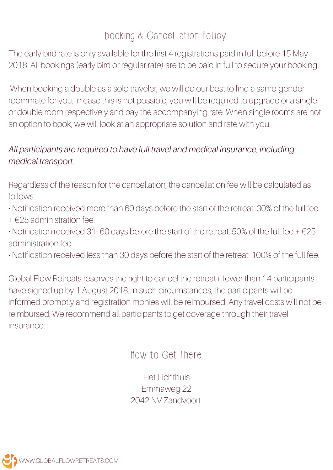## Booking & Cancellation Policy

The early bird rate is only available for the first 4 registrations paid in full before 15 May 2018. All bookings (early bird or regular rate) are to be paid in full to secure your booking.

When booking a double as a solo traveler, we will do our best to find a same-gender roommate for you. In case this is not possible, you will be required to upgrade or a single or double room respectively and pay the accompanying rate. When single rooms are not an option to book, we will look at an appropriate solution and rate with you.

#### All participants are required to have full travel and medical insurance, including medical transport.

Regardless of the reason for the cancellation, the cancellation fee will be calculated as follows:

• Notification received more than 60 days before the start of the retreat: 30% of the full fee

+ €25 administration fee.

 $\cdot$  Notification received 31-60 days before the start of the retreat: 50% of the full fee +  $\epsilon$ 25 administration fee.

• Notification received less than 30 days before the start of the retreat: 100% of the full fee.

Global Flow Retreats reserves the right to cancel the retreat if fewer than 14 participants have signed up by 1 August 2018. In such circumstances, the participants will be informed promptly and registration monies will be reimbursed. Any travel costs will not be reimbursed. We recommend all participants to get coverage through their travel insurance.

How to Get There

Het Lichthuis Emmaweg 22 2042 NV Zandvoort

**D** www.GLOBALFLOWRETREATS.COM